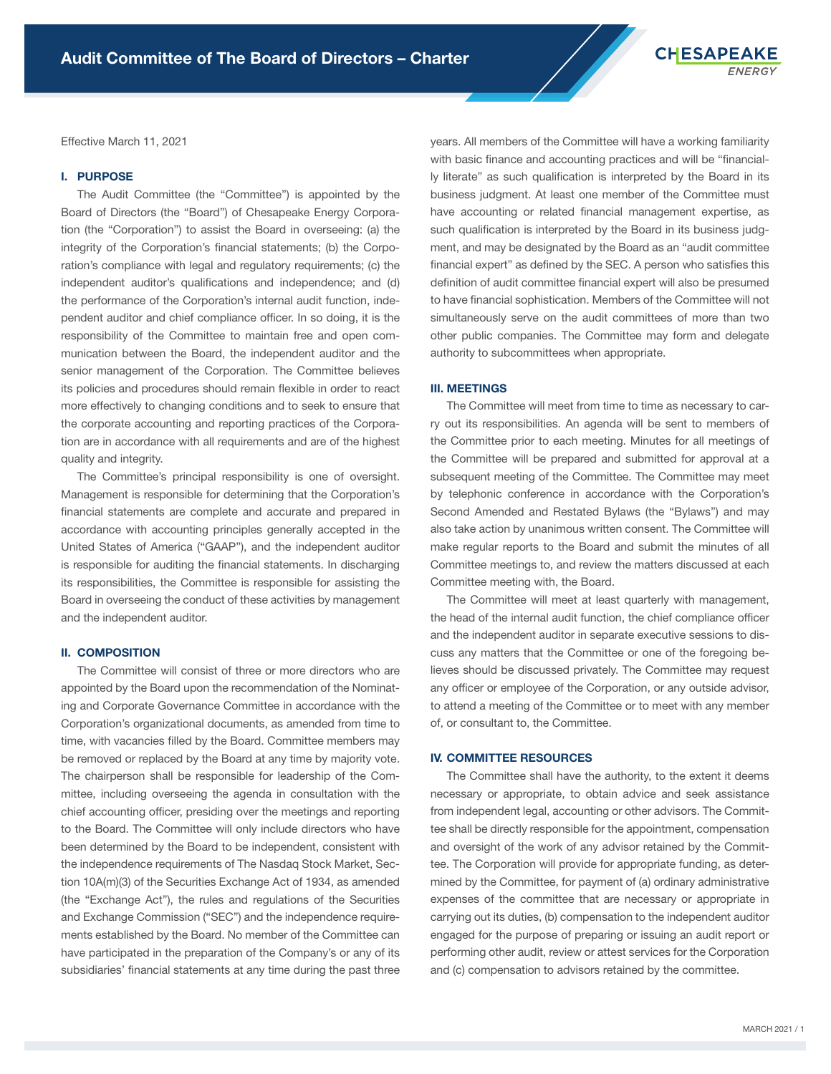

Effective March 11, 2021

### I. PURPOSE

The Audit Committee (the "Committee") is appointed by the Board of Directors (the "Board") of Chesapeake Energy Corporation (the "Corporation") to assist the Board in overseeing: (a) the integrity of the Corporation's financial statements; (b) the Corporation's compliance with legal and regulatory requirements; (c) the independent auditor's qualifications and independence; and (d) the performance of the Corporation's internal audit function, independent auditor and chief compliance officer. In so doing, it is the responsibility of the Committee to maintain free and open communication between the Board, the independent auditor and the senior management of the Corporation. The Committee believes its policies and procedures should remain flexible in order to react more effectively to changing conditions and to seek to ensure that the corporate accounting and reporting practices of the Corporation are in accordance with all requirements and are of the highest quality and integrity.

The Committee's principal responsibility is one of oversight. Management is responsible for determining that the Corporation's financial statements are complete and accurate and prepared in accordance with accounting principles generally accepted in the United States of America ("GAAP"), and the independent auditor is responsible for auditing the financial statements. In discharging its responsibilities, the Committee is responsible for assisting the Board in overseeing the conduct of these activities by management and the independent auditor.

## II. COMPOSITION

The Committee will consist of three or more directors who are appointed by the Board upon the recommendation of the Nominating and Corporate Governance Committee in accordance with the Corporation's organizational documents, as amended from time to time, with vacancies filled by the Board. Committee members may be removed or replaced by the Board at any time by majority vote. The chairperson shall be responsible for leadership of the Committee, including overseeing the agenda in consultation with the chief accounting officer, presiding over the meetings and reporting to the Board. The Committee will only include directors who have been determined by the Board to be independent, consistent with the independence requirements of The Nasdaq Stock Market, Section 10A(m)(3) of the Securities Exchange Act of 1934, as amended (the "Exchange Act"), the rules and regulations of the Securities and Exchange Commission ("SEC") and the independence requirements established by the Board. No member of the Committee can have participated in the preparation of the Company's or any of its subsidiaries' financial statements at any time during the past three years. All members of the Committee will have a working familiarity with basic finance and accounting practices and will be "financially literate" as such qualification is interpreted by the Board in its business judgment. At least one member of the Committee must have accounting or related financial management expertise, as such qualification is interpreted by the Board in its business judgment, and may be designated by the Board as an "audit committee financial expert" as defined by the SEC. A person who satisfies this definition of audit committee financial expert will also be presumed to have financial sophistication. Members of the Committee will not simultaneously serve on the audit committees of more than two other public companies. The Committee may form and delegate authority to subcommittees when appropriate.

## III. MEETINGS

The Committee will meet from time to time as necessary to carry out its responsibilities. An agenda will be sent to members of the Committee prior to each meeting. Minutes for all meetings of the Committee will be prepared and submitted for approval at a subsequent meeting of the Committee. The Committee may meet by telephonic conference in accordance with the Corporation's Second Amended and Restated Bylaws (the "Bylaws") and may also take action by unanimous written consent. The Committee will make regular reports to the Board and submit the minutes of all Committee meetings to, and review the matters discussed at each Committee meeting with, the Board.

The Committee will meet at least quarterly with management, the head of the internal audit function, the chief compliance officer and the independent auditor in separate executive sessions to discuss any matters that the Committee or one of the foregoing believes should be discussed privately. The Committee may request any officer or employee of the Corporation, or any outside advisor, to attend a meeting of the Committee or to meet with any member of, or consultant to, the Committee.

#### IV. COMMITTEE RESOURCES

The Committee shall have the authority, to the extent it deems necessary or appropriate, to obtain advice and seek assistance from independent legal, accounting or other advisors. The Committee shall be directly responsible for the appointment, compensation and oversight of the work of any advisor retained by the Committee. The Corporation will provide for appropriate funding, as determined by the Committee, for payment of (a) ordinary administrative expenses of the committee that are necessary or appropriate in carrying out its duties, (b) compensation to the independent auditor engaged for the purpose of preparing or issuing an audit report or performing other audit, review or attest services for the Corporation and (c) compensation to advisors retained by the committee.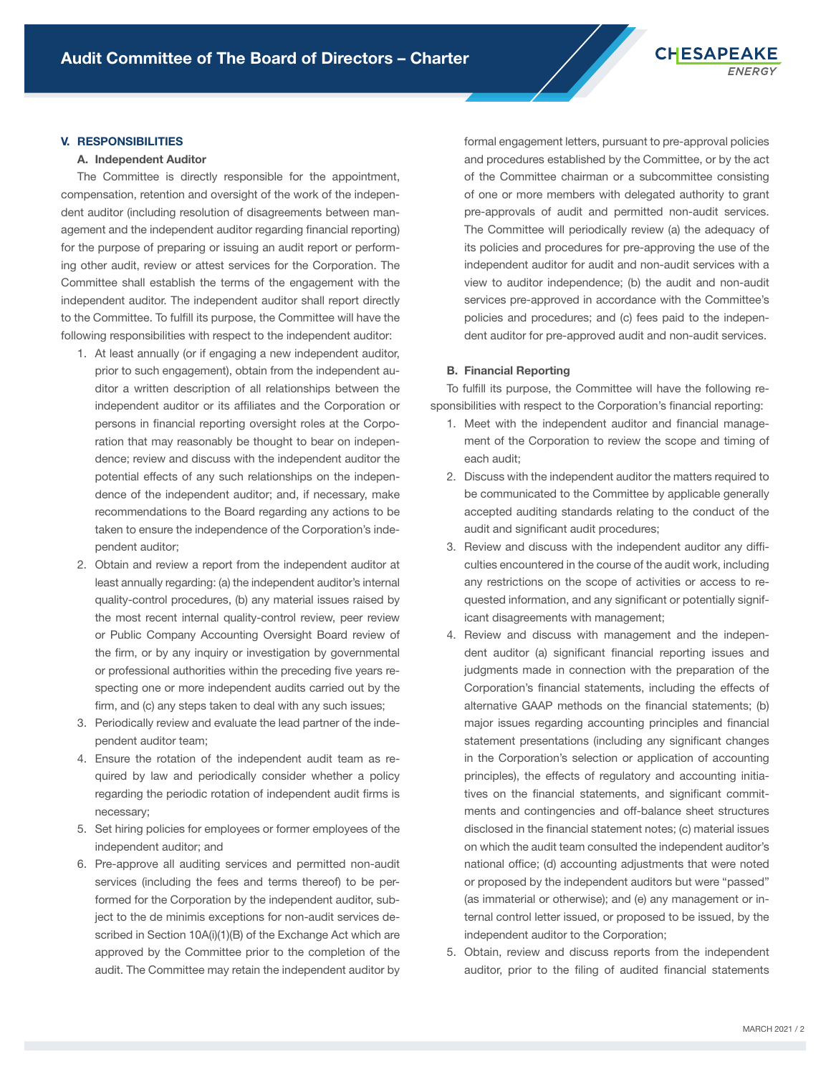## V. RESPONSIBILITIES

#### A. Independent Auditor

The Committee is directly responsible for the appointment, compensation, retention and oversight of the work of the independent auditor (including resolution of disagreements between management and the independent auditor regarding financial reporting) for the purpose of preparing or issuing an audit report or performing other audit, review or attest services for the Corporation. The Committee shall establish the terms of the engagement with the independent auditor. The independent auditor shall report directly to the Committee. To fulfill its purpose, the Committee will have the following responsibilities with respect to the independent auditor:

- 1. At least annually (or if engaging a new independent auditor, prior to such engagement), obtain from the independent auditor a written description of all relationships between the independent auditor or its affiliates and the Corporation or persons in financial reporting oversight roles at the Corporation that may reasonably be thought to bear on independence; review and discuss with the independent auditor the potential effects of any such relationships on the independence of the independent auditor; and, if necessary, make recommendations to the Board regarding any actions to be taken to ensure the independence of the Corporation's independent auditor;
- 2. Obtain and review a report from the independent auditor at least annually regarding: (a) the independent auditor's internal quality-control procedures, (b) any material issues raised by the most recent internal quality-control review, peer review or Public Company Accounting Oversight Board review of the firm, or by any inquiry or investigation by governmental or professional authorities within the preceding five years respecting one or more independent audits carried out by the firm, and (c) any steps taken to deal with any such issues;
- 3. Periodically review and evaluate the lead partner of the independent auditor team;
- 4. Ensure the rotation of the independent audit team as required by law and periodically consider whether a policy regarding the periodic rotation of independent audit firms is necessary;
- 5. Set hiring policies for employees or former employees of the independent auditor; and
- 6. Pre-approve all auditing services and permitted non-audit services (including the fees and terms thereof) to be performed for the Corporation by the independent auditor, subject to the de minimis exceptions for non-audit services described in Section 10A(i)(1)(B) of the Exchange Act which are approved by the Committee prior to the completion of the audit. The Committee may retain the independent auditor by

formal engagement letters, pursuant to pre-approval policies and procedures established by the Committee, or by the act of the Committee chairman or a subcommittee consisting of one or more members with delegated authority to grant pre-approvals of audit and permitted non-audit services. The Committee will periodically review (a) the adequacy of its policies and procedures for pre-approving the use of the independent auditor for audit and non-audit services with a view to auditor independence; (b) the audit and non-audit services pre-approved in accordance with the Committee's policies and procedures; and (c) fees paid to the independent auditor for pre-approved audit and non-audit services.

### B. Financial Reporting

To fulfill its purpose, the Committee will have the following responsibilities with respect to the Corporation's financial reporting:

- 1. Meet with the independent auditor and financial management of the Corporation to review the scope and timing of each audit;
- 2. Discuss with the independent auditor the matters required to be communicated to the Committee by applicable generally accepted auditing standards relating to the conduct of the audit and significant audit procedures;
- 3. Review and discuss with the independent auditor any difficulties encountered in the course of the audit work, including any restrictions on the scope of activities or access to requested information, and any significant or potentially significant disagreements with management;
- 4. Review and discuss with management and the independent auditor (a) significant financial reporting issues and judgments made in connection with the preparation of the Corporation's financial statements, including the effects of alternative GAAP methods on the financial statements; (b) major issues regarding accounting principles and financial statement presentations (including any significant changes in the Corporation's selection or application of accounting principles), the effects of regulatory and accounting initiatives on the financial statements, and significant commitments and contingencies and off-balance sheet structures disclosed in the financial statement notes; (c) material issues on which the audit team consulted the independent auditor's national office; (d) accounting adjustments that were noted or proposed by the independent auditors but were "passed" (as immaterial or otherwise); and (e) any management or internal control letter issued, or proposed to be issued, by the independent auditor to the Corporation;
- 5. Obtain, review and discuss reports from the independent auditor, prior to the filing of audited financial statements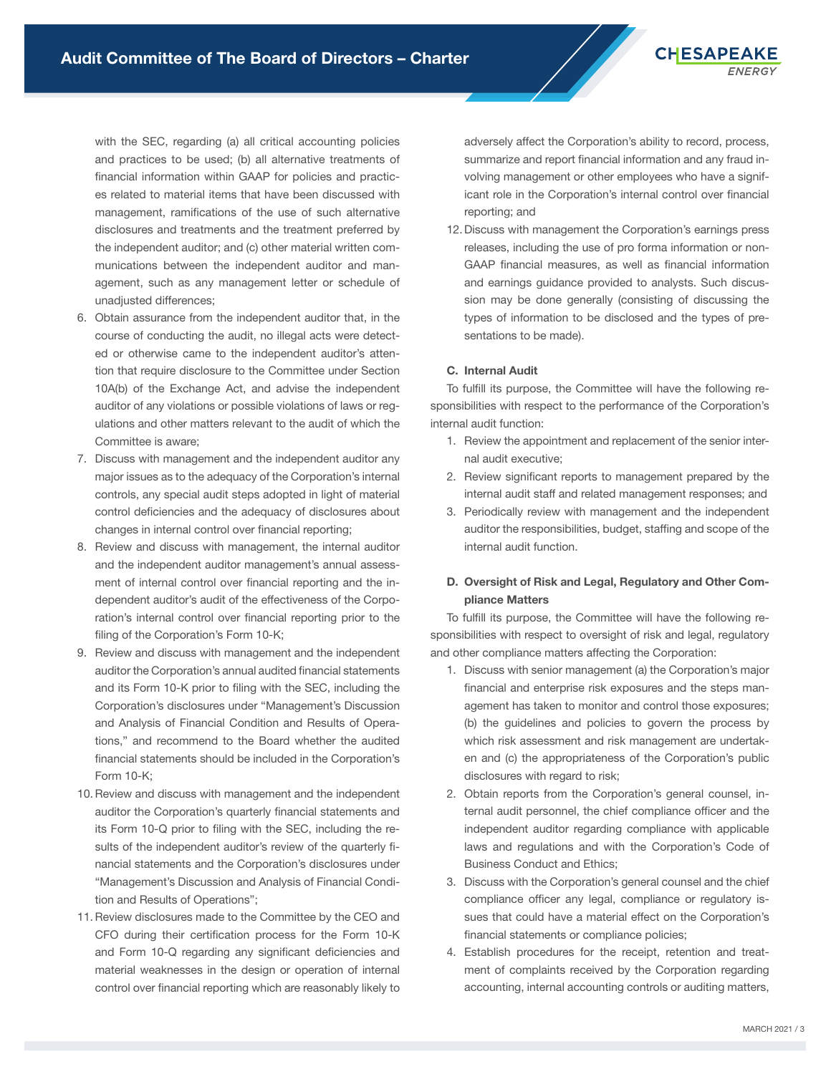with the SEC, regarding (a) all critical accounting policies and practices to be used; (b) all alternative treatments of financial information within GAAP for policies and practices related to material items that have been discussed with management, ramifications of the use of such alternative disclosures and treatments and the treatment preferred by the independent auditor; and (c) other material written communications between the independent auditor and management, such as any management letter or schedule of unadjusted differences;

- 6. Obtain assurance from the independent auditor that, in the course of conducting the audit, no illegal acts were detected or otherwise came to the independent auditor's attention that require disclosure to the Committee under Section 10A(b) of the Exchange Act, and advise the independent auditor of any violations or possible violations of laws or regulations and other matters relevant to the audit of which the Committee is aware;
- 7. Discuss with management and the independent auditor any major issues as to the adequacy of the Corporation's internal controls, any special audit steps adopted in light of material control deficiencies and the adequacy of disclosures about changes in internal control over financial reporting;
- 8. Review and discuss with management, the internal auditor and the independent auditor management's annual assessment of internal control over financial reporting and the independent auditor's audit of the effectiveness of the Corporation's internal control over financial reporting prior to the filing of the Corporation's Form 10-K;
- 9. Review and discuss with management and the independent auditor the Corporation's annual audited financial statements and its Form 10-K prior to filing with the SEC, including the Corporation's disclosures under "Management's Discussion and Analysis of Financial Condition and Results of Operations," and recommend to the Board whether the audited financial statements should be included in the Corporation's Form 10-K;
- 10. Review and discuss with management and the independent auditor the Corporation's quarterly financial statements and its Form 10-Q prior to filing with the SEC, including the results of the independent auditor's review of the quarterly financial statements and the Corporation's disclosures under "Management's Discussion and Analysis of Financial Condition and Results of Operations";
- 11. Review disclosures made to the Committee by the CEO and CFO during their certification process for the Form 10-K and Form 10-Q regarding any significant deficiencies and material weaknesses in the design or operation of internal control over financial reporting which are reasonably likely to

adversely affect the Corporation's ability to record, process, summarize and report financial information and any fraud involving management or other employees who have a significant role in the Corporation's internal control over financial reporting; and

**CHESAPEAKE** 

12. Discuss with management the Corporation's earnings press releases, including the use of pro forma information or non-GAAP financial measures, as well as financial information and earnings guidance provided to analysts. Such discussion may be done generally (consisting of discussing the types of information to be disclosed and the types of presentations to be made).

## C. Internal Audit

To fulfill its purpose, the Committee will have the following responsibilities with respect to the performance of the Corporation's internal audit function:

- 1. Review the appointment and replacement of the senior internal audit executive;
- 2. Review significant reports to management prepared by the internal audit staff and related management responses; and
- 3. Periodically review with management and the independent auditor the responsibilities, budget, staffing and scope of the internal audit function.

# D. Oversight of Risk and Legal, Regulatory and Other Compliance Matters

To fulfill its purpose, the Committee will have the following responsibilities with respect to oversight of risk and legal, regulatory and other compliance matters affecting the Corporation:

- 1. Discuss with senior management (a) the Corporation's major financial and enterprise risk exposures and the steps management has taken to monitor and control those exposures; (b) the guidelines and policies to govern the process by which risk assessment and risk management are undertaken and (c) the appropriateness of the Corporation's public disclosures with regard to risk;
- 2. Obtain reports from the Corporation's general counsel, internal audit personnel, the chief compliance officer and the independent auditor regarding compliance with applicable laws and regulations and with the Corporation's Code of Business Conduct and Ethics;
- 3. Discuss with the Corporation's general counsel and the chief compliance officer any legal, compliance or regulatory issues that could have a material effect on the Corporation's financial statements or compliance policies;
- 4. Establish procedures for the receipt, retention and treatment of complaints received by the Corporation regarding accounting, internal accounting controls or auditing matters,